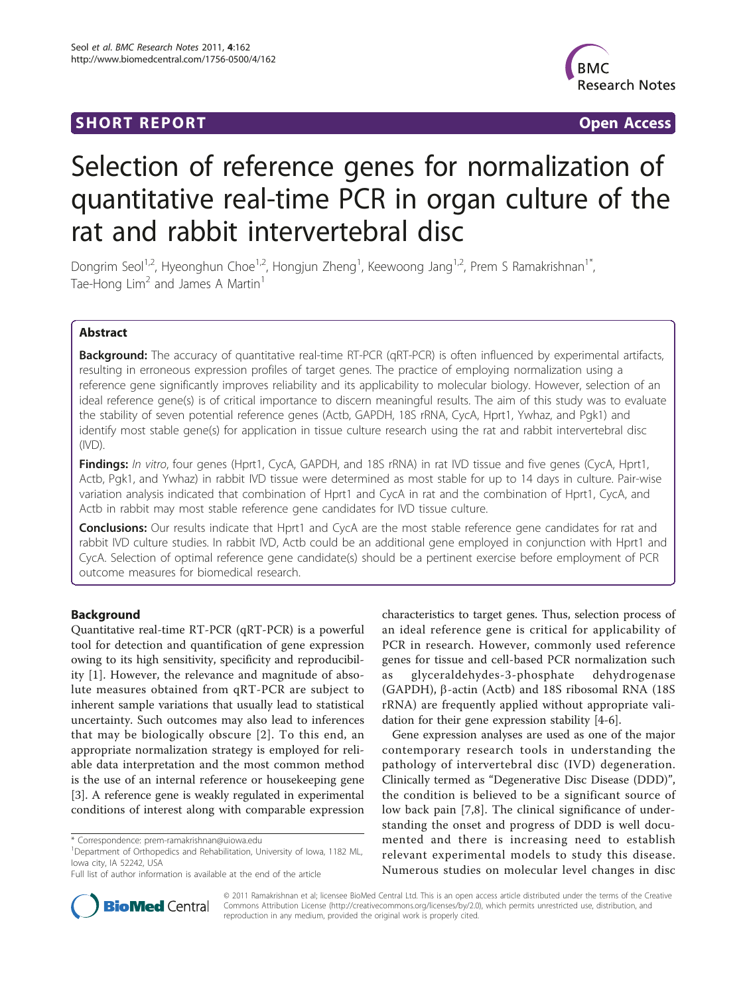# **SHORT REPORT CONSUMING THE OPEN ACCESS**



# Selection of reference genes for normalization of quantitative real-time PCR in organ culture of the rat and rabbit intervertebral disc

Dongrim Seol<sup>1,2</sup>, Hyeonghun Choe<sup>1,2</sup>, Hongjun Zheng<sup>1</sup>, Keewoong Jang<sup>1,2</sup>, Prem S Ramakrishnan<sup>1\*</sup>, Tae-Hong  $Lim<sup>2</sup>$  and James A Martin<sup>1</sup>

# Abstract

**Background:** The accuracy of quantitative real-time RT-PCR (qRT-PCR) is often influenced by experimental artifacts, resulting in erroneous expression profiles of target genes. The practice of employing normalization using a reference gene significantly improves reliability and its applicability to molecular biology. However, selection of an ideal reference gene(s) is of critical importance to discern meaningful results. The aim of this study was to evaluate the stability of seven potential reference genes (Actb, GAPDH, 18S rRNA, CycA, Hprt1, Ywhaz, and Pgk1) and identify most stable gene(s) for application in tissue culture research using the rat and rabbit intervertebral disc (IVD).

Findings: In vitro, four genes (Hprt1, CycA, GAPDH, and 18S rRNA) in rat IVD tissue and five genes (CycA, Hprt1, Actb, Pgk1, and Ywhaz) in rabbit IVD tissue were determined as most stable for up to 14 days in culture. Pair-wise variation analysis indicated that combination of Hprt1 and CycA in rat and the combination of Hprt1, CycA, and Actb in rabbit may most stable reference gene candidates for IVD tissue culture.

Conclusions: Our results indicate that Hprt1 and CycA are the most stable reference gene candidates for rat and rabbit IVD culture studies. In rabbit IVD, Actb could be an additional gene employed in conjunction with Hprt1 and CycA. Selection of optimal reference gene candidate(s) should be a pertinent exercise before employment of PCR outcome measures for biomedical research.

# Background

Quantitative real-time RT-PCR (qRT-PCR) is a powerful tool for detection and quantification of gene expression owing to its high sensitivity, specificity and reproducibility [[1\]](#page-6-0). However, the relevance and magnitude of absolute measures obtained from qRT-PCR are subject to inherent sample variations that usually lead to statistical uncertainty. Such outcomes may also lead to inferences that may be biologically obscure [[2](#page-6-0)]. To this end, an appropriate normalization strategy is employed for reliable data interpretation and the most common method is the use of an internal reference or housekeeping gene [[3\]](#page-6-0). A reference gene is weakly regulated in experimental conditions of interest along with comparable expression

characteristics to target genes. Thus, selection process of an ideal reference gene is critical for applicability of PCR in research. However, commonly used reference genes for tissue and cell-based PCR normalization such as glyceraldehydes-3-phosphate dehydrogenase (GAPDH),  $\beta$ -actin (Actb) and 18S ribosomal RNA (18S) rRNA) are frequently applied without appropriate validation for their gene expression stability [[4](#page-6-0)[-6](#page-7-0)].

Gene expression analyses are used as one of the major contemporary research tools in understanding the pathology of intervertebral disc (IVD) degeneration. Clinically termed as "Degenerative Disc Disease (DDD)", the condition is believed to be a significant source of low back pain [[7,8](#page-7-0)]. The clinical significance of understanding the onset and progress of DDD is well documented and there is increasing need to establish relevant experimental models to study this disease. Numerous studies on molecular level changes in disc



© 2011 Ramakrishnan et al; licensee BioMed Central Ltd. This is an open access article distributed under the terms of the Creative Commons Attribution License [\(http://creativecommons.org/licenses/by/2.0](http://creativecommons.org/licenses/by/2.0)), which permits unrestricted use, distribution, and reproduction in any medium, provided the original work is properly cited.

<sup>\*</sup> Correspondence: [prem-ramakrishnan@uiowa.edu](mailto:prem-ramakrishnan@uiowa.edu)

<sup>&</sup>lt;sup>1</sup>Department of Orthopedics and Rehabilitation, University of Iowa, 1182 ML, Iowa city, IA 52242, USA

Full list of author information is available at the end of the article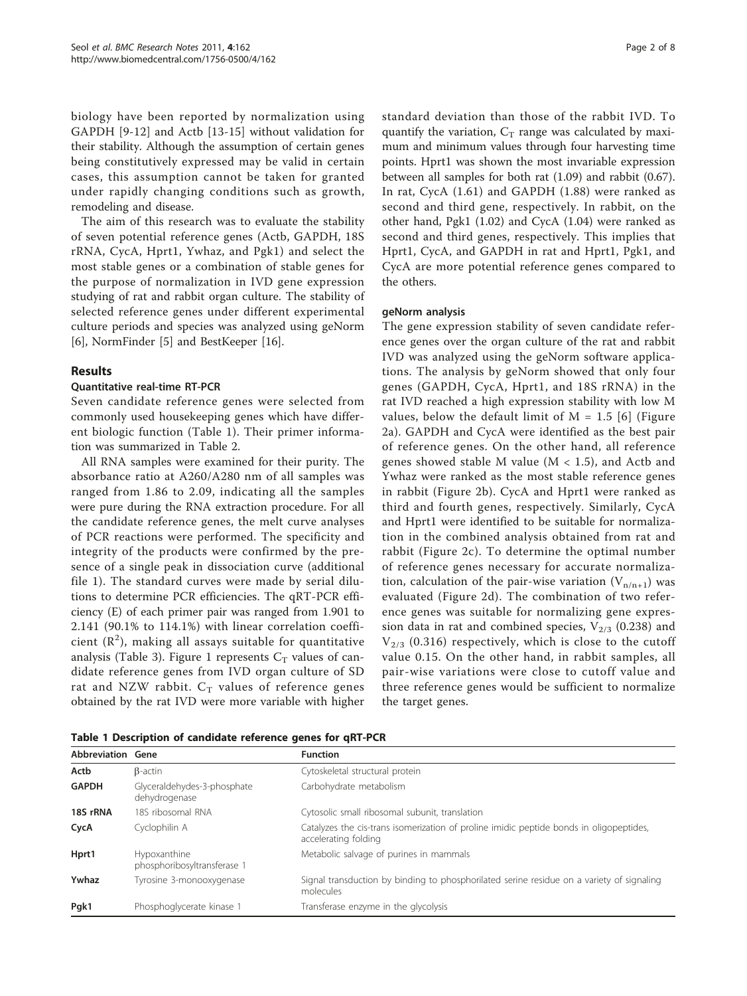biology have been reported by normalization using GAPDH [\[9](#page-7-0)-[12\]](#page-7-0) and Actb [[13-15](#page-7-0)] without validation for their stability. Although the assumption of certain genes being constitutively expressed may be valid in certain cases, this assumption cannot be taken for granted under rapidly changing conditions such as growth, remodeling and disease.

The aim of this research was to evaluate the stability of seven potential reference genes (Actb, GAPDH, 18S rRNA, CycA, Hprt1, Ywhaz, and Pgk1) and select the most stable genes or a combination of stable genes for the purpose of normalization in IVD gene expression studying of rat and rabbit organ culture. The stability of selected reference genes under different experimental culture periods and species was analyzed using geNorm [[6\]](#page-7-0), NormFinder [\[5](#page-7-0)] and BestKeeper [[16](#page-7-0)].

# Results

# Quantitative real-time RT-PCR

Seven candidate reference genes were selected from commonly used housekeeping genes which have different biologic function (Table 1). Their primer information was summarized in Table [2](#page-2-0).

All RNA samples were examined for their purity. The absorbance ratio at A260/A280 nm of all samples was ranged from 1.86 to 2.09, indicating all the samples were pure during the RNA extraction procedure. For all the candidate reference genes, the melt curve analyses of PCR reactions were performed. The specificity and integrity of the products were confirmed by the presence of a single peak in dissociation curve (additional file [1\)](#page-6-0). The standard curves were made by serial dilutions to determine PCR efficiencies. The qRT-PCR efficiency (E) of each primer pair was ranged from 1.901 to 2.141 (90.1% to 114.1%) with linear correlation coefficient  $(\mathbb{R}^2)$ , making all assays suitable for quantitative analysis (Table [3](#page-2-0)). Figure [1](#page-3-0) represents  $C_T$  values of candidate reference genes from IVD organ culture of SD rat and NZW rabbit.  $C_T$  values of reference genes obtained by the rat IVD were more variable with higher standard deviation than those of the rabbit IVD. To quantify the variation,  $C_T$  range was calculated by maximum and minimum values through four harvesting time points. Hprt1 was shown the most invariable expression between all samples for both rat (1.09) and rabbit (0.67). In rat, CycA (1.61) and GAPDH (1.88) were ranked as second and third gene, respectively. In rabbit, on the other hand, Pgk1 (1.02) and CycA (1.04) were ranked as second and third genes, respectively. This implies that Hprt1, CycA, and GAPDH in rat and Hprt1, Pgk1, and CycA are more potential reference genes compared to the others.

## geNorm analysis

The gene expression stability of seven candidate reference genes over the organ culture of the rat and rabbit IVD was analyzed using the geNorm software applications. The analysis by geNorm showed that only four genes (GAPDH, CycA, Hprt1, and 18S rRNA) in the rat IVD reached a high expression stability with low M values, below the default limit of  $M = 1.5$  [[6\]](#page-7-0) (Figure [2a](#page-3-0)). GAPDH and CycA were identified as the best pair of reference genes. On the other hand, all reference genes showed stable M value ( $M < 1.5$ ), and Actb and Ywhaz were ranked as the most stable reference genes in rabbit (Figure [2b\)](#page-3-0). CycA and Hprt1 were ranked as third and fourth genes, respectively. Similarly, CycA and Hprt1 were identified to be suitable for normalization in the combined analysis obtained from rat and rabbit (Figure [2c](#page-3-0)). To determine the optimal number of reference genes necessary for accurate normalization, calculation of the pair-wise variation  $(V_{n/n+1})$  was evaluated (Figure [2d\)](#page-3-0). The combination of two reference genes was suitable for normalizing gene expression data in rat and combined species,  $V_{2/3}$  (0.238) and  $V_{2/3}$  (0.316) respectively, which is close to the cutoff value 0.15. On the other hand, in rabbit samples, all pair-wise variations were close to cutoff value and three reference genes would be sufficient to normalize the target genes.

|  |  | Table 1 Description of candidate reference genes for qRT-PCR |  |  |  |  |  |  |  |
|--|--|--------------------------------------------------------------|--|--|--|--|--|--|--|
|--|--|--------------------------------------------------------------|--|--|--|--|--|--|--|

| Abbreviation Gene |                                              | <b>Function</b>                                                                                                 |
|-------------------|----------------------------------------------|-----------------------------------------------------------------------------------------------------------------|
| Actb              | $\beta$ -actin                               | Cytoskeletal structural protein                                                                                 |
| <b>GAPDH</b>      | Glyceraldehydes-3-phosphate<br>dehydrogenase | Carbohydrate metabolism                                                                                         |
| 18S rRNA          | 18S ribosomal RNA                            | Cytosolic small ribosomal subunit, translation                                                                  |
| CycA              | Cyclophilin A                                | Catalyzes the cis-trans isomerization of proline imidic peptide bonds in oligopeptides,<br>accelerating folding |
| Hprt1             | Hypoxanthine<br>phosphoribosyltransferase 1  | Metabolic salvage of purines in mammals                                                                         |
| Ywhaz             | Tyrosine 3-monooxygenase                     | Signal transduction by binding to phosphorilated serine residue on a variety of signaling<br>molecules          |
| Pgk1              | Phosphoglycerate kinase 1                    | Transferase enzyme in the glycolysis                                                                            |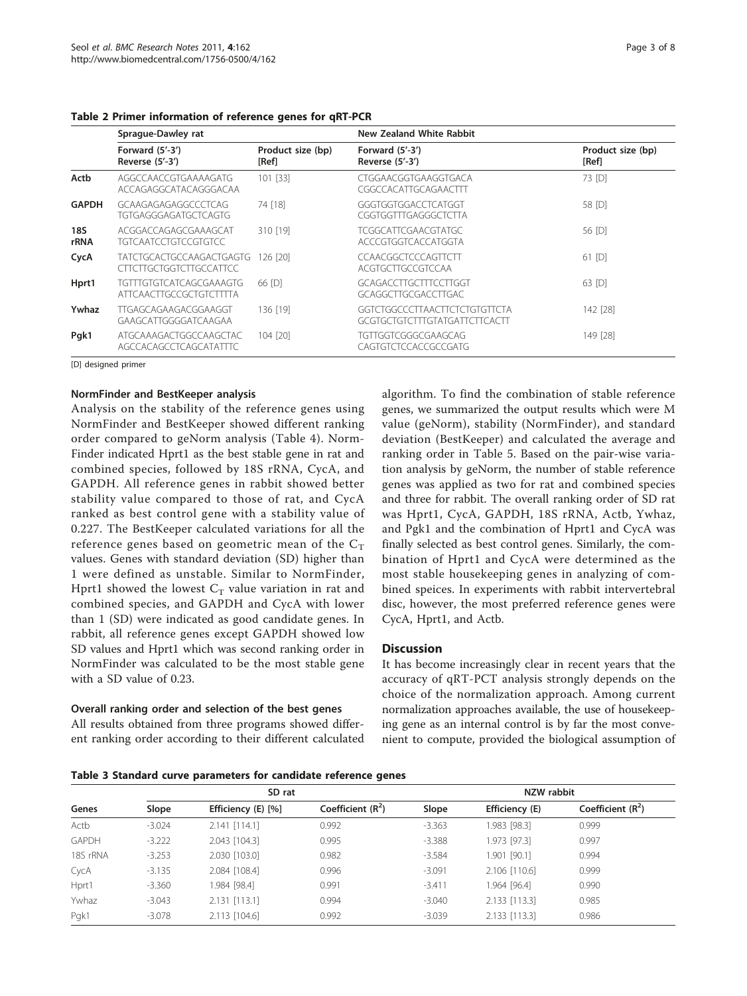|              | Sprague-Dawley rat                                         |                            | <b>New Zealand White Rabbit</b>                                |                            |  |  |
|--------------|------------------------------------------------------------|----------------------------|----------------------------------------------------------------|----------------------------|--|--|
|              | Forward $(5'-3')$<br>Reverse (5'-3')                       | Product size (bp)<br>[Ref] | Forward $(5'-3')$<br>Reverse (5'-3')                           | Product size (bp)<br>[Ref] |  |  |
| Actb         | AGGCCAACCGTGAAAAGATG<br>ACCAGAGGCATACAGGGACAA              | 101 [33]                   | CTGGAACGGTGAAGGTGACA<br>CGGCCACATTGCAGAACTTT                   | 73 [D]                     |  |  |
| <b>GAPDH</b> | GCAAGAGAGAGGCCCTCAG<br><b>TGTGAGGGAGATGCTCAGTG</b>         | 74 [18]                    | GGGTGGTGGACCTCATGGT<br>CGGTGGTTTGAGGGCTCTTA                    | 58 [D]                     |  |  |
| 18S<br>rRNA  | ACGGACCAGAGCGAAAGCAT<br><b>TGTCAATCCTGTCCGTGTCC</b>        | 310 [19]                   | TCGGCATTCGAACGTATGC<br>ACCCGTGGTCACCATGGTA                     | 56 [D]                     |  |  |
| CycA         | <b>TATCTGCACTGCCAAGACTGAGTG</b><br>CITCITGCTGGTCITGCCATTCC | 126 [20]                   | CCAACGGCTCCCAGTTCTT<br>ACGTGCTTGCCGTCCAA                       | 61 [D]                     |  |  |
| Hprt1        | TGTTTGTGTCATCAGCGAAAGTG<br>ATTCAACTTGCCGCTGTCTTTTA         | 66 IDI                     | GCAGACCITGCITTCCITGGT<br>GCAGGCTTGCGACCTTGAC                   | 63 [D]                     |  |  |
| Ywhaz        | TTGAGCAGAAGACGGAAGGT<br>GAAGCATTGGGGATCAAGAA               | 136 [19]                   | GGTCTGGCCCTTAACTTCTCTGTGTTCTA<br>GCGTGCTGTCTTTGTATGATTCTTCACTT | 142 [28]                   |  |  |
| Pgk1         | ATGCAAAGACTGGCCAAGCTAC<br>AGCCACAGCCTCAGCATATTTC           | 104 [20]                   | TGTTGGTCGGGCGAAGCAG<br>CAGTGTCTCCACCGCCGATG                    | 149 [28]                   |  |  |

<span id="page-2-0"></span>Table 2 Primer information of reference genes for qRT-PCR

[D] designed primer

# NormFinder and BestKeeper analysis

Analysis on the stability of the reference genes using NormFinder and BestKeeper showed different ranking order compared to geNorm analysis (Table [4](#page-4-0)). Norm-Finder indicated Hprt1 as the best stable gene in rat and combined species, followed by 18S rRNA, CycA, and GAPDH. All reference genes in rabbit showed better stability value compared to those of rat, and CycA ranked as best control gene with a stability value of 0.227. The BestKeeper calculated variations for all the reference genes based on geometric mean of the  $C_T$ values. Genes with standard deviation (SD) higher than 1 were defined as unstable. Similar to NormFinder, Hprt1 showed the lowest  $C_T$  value variation in rat and combined species, and GAPDH and CycA with lower than 1 (SD) were indicated as good candidate genes. In rabbit, all reference genes except GAPDH showed low SD values and Hprt1 which was second ranking order in NormFinder was calculated to be the most stable gene with a SD value of 0.23.

# Overall ranking order and selection of the best genes

All results obtained from three programs showed different ranking order according to their different calculated

algorithm. To find the combination of stable reference genes, we summarized the output results which were M value (geNorm), stability (NormFinder), and standard deviation (BestKeeper) and calculated the average and ranking order in Table [5.](#page-4-0) Based on the pair-wise variation analysis by geNorm, the number of stable reference genes was applied as two for rat and combined species and three for rabbit. The overall ranking order of SD rat was Hprt1, CycA, GAPDH, 18S rRNA, Actb, Ywhaz, and Pgk1 and the combination of Hprt1 and CycA was finally selected as best control genes. Similarly, the combination of Hprt1 and CycA were determined as the most stable housekeeping genes in analyzing of combined speices. In experiments with rabbit intervertebral disc, however, the most preferred reference genes were CycA, Hprt1, and Actb.

# **Discussion**

It has become increasingly clear in recent years that the accuracy of qRT-PCT analysis strongly depends on the choice of the normalization approach. Among current normalization approaches available, the use of housekeeping gene as an internal control is by far the most convenient to compute, provided the biological assumption of

Table 3 Standard curve parameters for candidate reference genes

|              |          | SD rat             |                     | NZW rabbit |                |                    |  |  |
|--------------|----------|--------------------|---------------------|------------|----------------|--------------------|--|--|
| Genes        | Slope    | Efficiency (E) [%] | Coefficient $(R^2)$ | Slope      | Efficiency (E) | Coefficient $(R2)$ |  |  |
| Actb         | $-3.024$ | $2.141$ [114.1]    | 0.992               | $-3.363$   | 1.983 [98.3]   | 0.999              |  |  |
| <b>GAPDH</b> | $-3.222$ | 2.043 [104.3]      | 0.995               | $-3.388$   | 1.973 [97.3]   | 0.997              |  |  |
| 18S rRNA     | $-3.253$ | 2.030 [103.0]      | 0.982               | $-3.584$   | 1.901 [90.1]   | 0.994              |  |  |
| CycA         | $-3.135$ | 2.084 [108.4]      | 0.996               | $-3.091$   | 2.106 [110.6]  | 0.999              |  |  |
| Hprt1        | $-3.360$ | 1.984 [98.4]       | 0.991               | $-3.411$   | 1.964 [96.4]   | 0.990              |  |  |
| Ywhaz        | $-3.043$ | $2.131$ [113.1]    | 0.994               | $-3.040$   | 2.133 [113.3]  | 0.985              |  |  |
| Pgk1         | $-3.078$ | 2.113 [104.6]      | 0.992               | $-3.039$   | 2.133 [113.3]  | 0.986              |  |  |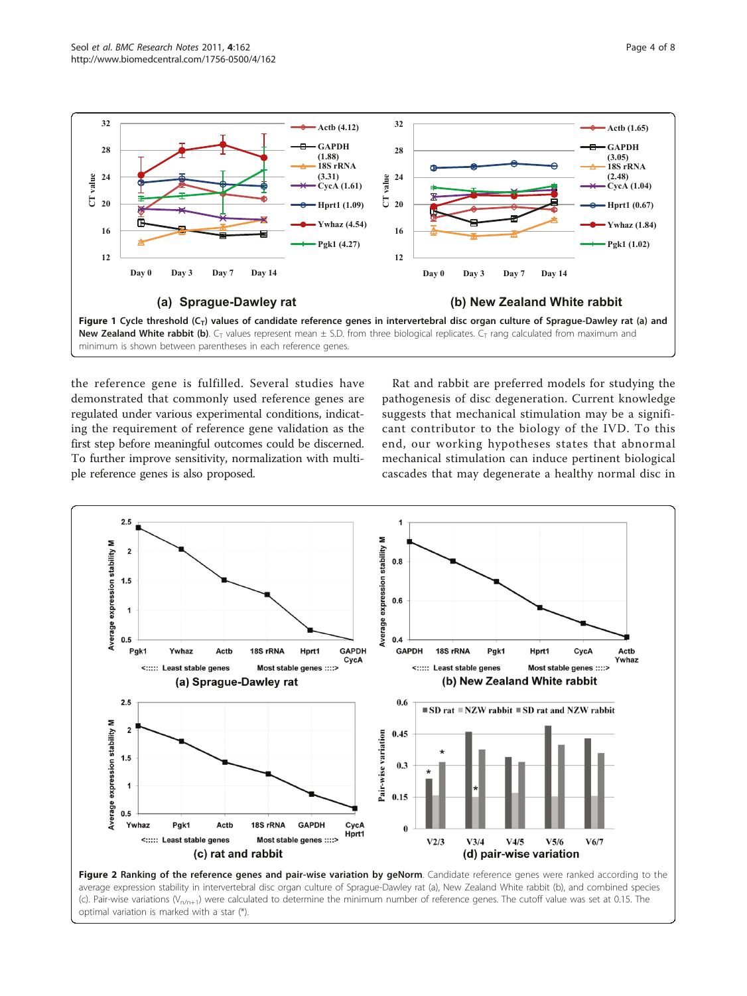<span id="page-3-0"></span>

Figure 1 Cycle threshold  $(C_T)$  values of candidate reference genes in intervertebral disc organ culture of Sprague-Dawley rat (a) and New Zealand White rabbit (b).  $C_T$  values represent mean  $\pm$  S.D. from three biological replicates.  $C_T$  rang calculated from maximum and minimum is shown between parentheses in each reference genes.

the reference gene is fulfilled. Several studies have demonstrated that commonly used reference genes are regulated under various experimental conditions, indicating the requirement of reference gene validation as the first step before meaningful outcomes could be discerned. To further improve sensitivity, normalization with multiple reference genes is also proposed.

Rat and rabbit are preferred models for studying the pathogenesis of disc degeneration. Current knowledge suggests that mechanical stimulation may be a significant contributor to the biology of the IVD. To this end, our working hypotheses states that abnormal mechanical stimulation can induce pertinent biological cascades that may degenerate a healthy normal disc in



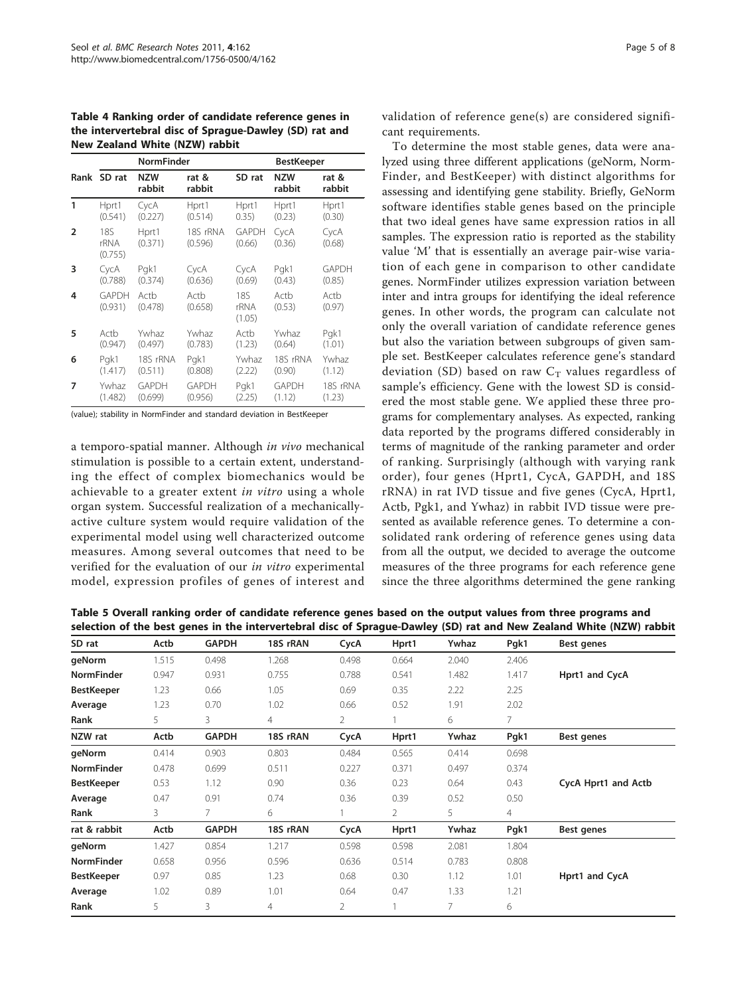<span id="page-4-0"></span>Table 4 Ranking order of candidate reference genes in the intervertebral disc of Sprague-Dawley (SD) rat and New Zealand White (NZW) rabbit

|                |                         | <b>NormFinder</b>    |                     | BestKeeper             |                      |                 |  |  |
|----------------|-------------------------|----------------------|---------------------|------------------------|----------------------|-----------------|--|--|
|                | Rank SD rat             | <b>NZW</b><br>rabbit | rat &<br>rabbit     | SD rat                 | <b>NZW</b><br>rabbit | rat &<br>rabbit |  |  |
| 1              | Hprt1                   | CycA                 | Hprt1               | Hprt1                  | Hprt1                | Hprt1           |  |  |
|                | (0.541)                 | (0.227)              | (0.514)             | 0.35)                  | (0.23)               | (0.30)          |  |  |
| $\overline{2}$ | 185<br>rRNA<br>(0.755)  | Hprt1<br>(0.371)     | 18S rRNA<br>(0.596) | <b>GAPDH</b><br>(0.66) | CycA<br>(0.36)       | CycA<br>(0.68)  |  |  |
| 3              | CycA                    | Pgk1                 | CycA                | CycA                   | Pgk1                 | <b>GAPDH</b>    |  |  |
|                | (0.788)                 | (0.374)              | (0.636)             | (0.69)                 | (0.43)               | (0.85)          |  |  |
| 4              | <b>GAPDH</b><br>(0.931) | Actb<br>(0.478)      | Actb<br>(0.658)     | 18S<br>rRNA<br>(1.05)  | Actb<br>(0.53)       | Actb<br>(0.97)  |  |  |
| 5              | Actb                    | Ywhaz                | Ywhaz               | Actb                   | Ywhaz                | Pgk1            |  |  |
|                | (0.947)                 | (0.497)              | (0.783)             | (1.23)                 | (0.64)               | (1.01)          |  |  |
| 6              | Pak1                    | 18S rRNA             | Pgk1                | Ywhaz                  | 18S rRNA             | Ywhaz           |  |  |
|                | (1.417)                 | (0.511)              | (0.808)             | (2.22)                 | (0.90)               | (1.12)          |  |  |
| 7              | Ywhaz                   | <b>GAPDH</b>         | <b>GAPDH</b>        | Pgk1                   | <b>GAPDH</b>         | 18S rRNA        |  |  |
|                | (1.482)                 | (0.699)              | (0.956)             | (2.25)                 | (1.12)               | (1.23)          |  |  |

(value); stability in NormFinder and standard deviation in BestKeeper

a temporo-spatial manner. Although in vivo mechanical stimulation is possible to a certain extent, understanding the effect of complex biomechanics would be achievable to a greater extent in vitro using a whole organ system. Successful realization of a mechanicallyactive culture system would require validation of the experimental model using well characterized outcome measures. Among several outcomes that need to be verified for the evaluation of our in vitro experimental model, expression profiles of genes of interest and validation of reference gene(s) are considered significant requirements.

To determine the most stable genes, data were analyzed using three different applications (geNorm, Norm-Finder, and BestKeeper) with distinct algorithms for assessing and identifying gene stability. Briefly, GeNorm software identifies stable genes based on the principle that two ideal genes have same expression ratios in all samples. The expression ratio is reported as the stability value 'M' that is essentially an average pair-wise variation of each gene in comparison to other candidate genes. NormFinder utilizes expression variation between inter and intra groups for identifying the ideal reference genes. In other words, the program can calculate not only the overall variation of candidate reference genes but also the variation between subgroups of given sample set. BestKeeper calculates reference gene's standard deviation (SD) based on raw  $C_T$  values regardless of sample's efficiency. Gene with the lowest SD is considered the most stable gene. We applied these three programs for complementary analyses. As expected, ranking data reported by the programs differed considerably in terms of magnitude of the ranking parameter and order of ranking. Surprisingly (although with varying rank order), four genes (Hprt1, CycA, GAPDH, and 18S rRNA) in rat IVD tissue and five genes (CycA, Hprt1, Actb, Pgk1, and Ywhaz) in rabbit IVD tissue were presented as available reference genes. To determine a consolidated rank ordering of reference genes using data from all the output, we decided to average the outcome measures of the three programs for each reference gene since the three algorithms determined the gene ranking

Table 5 Overall ranking order of candidate reference genes based on the output values from three programs and selection of the best genes in the intervertebral disc of Sprague-Dawley (SD) rat and New Zealand White (NZW) rabbit

| SD rat            | Actb  | <b>GAPDH</b> | 18S rRAN       | CycA  | Hprt1 | Ywhaz | Pgk1           | Best genes          |
|-------------------|-------|--------------|----------------|-------|-------|-------|----------------|---------------------|
| geNorm            | 1.515 | 0.498        | 1.268          | 0.498 | 0.664 | 2.040 | 2.406          |                     |
| <b>NormFinder</b> | 0.947 | 0.931        | 0.755          | 0.788 | 0.541 | 1.482 | 1.417          | Hprt1 and CycA      |
| <b>BestKeeper</b> | 1.23  | 0.66         | 1.05           | 0.69  | 0.35  | 2.22  | 2.25           |                     |
| Average           | 1.23  | 0.70         | 1.02           | 0.66  | 0.52  | 1.91  | 2.02           |                     |
| Rank              | 5     | 3            | $\overline{4}$ | 2     |       | 6     | 7              |                     |
| NZW rat           | Actb  | <b>GAPDH</b> | 18S rRAN       | CycA  | Hprt1 | Ywhaz | Pgk1           | Best genes          |
| qeNorm            | 0.414 | 0.903        | 0.803          | 0.484 | 0.565 | 0.414 | 0.698          |                     |
| <b>NormFinder</b> | 0.478 | 0.699        | 0.511          | 0.227 | 0.371 | 0.497 | 0.374          |                     |
| <b>BestKeeper</b> | 0.53  | 1.12         | 0.90           | 0.36  | 0.23  | 0.64  | 0.43           | CycA Hprt1 and Actb |
| Average           | 0.47  | 0.91         | 0.74           | 0.36  | 0.39  | 0.52  | 0.50           |                     |
| Rank              | 3     | 7.           | 6              |       | 2     | 5     | $\overline{4}$ |                     |
| rat & rabbit      | Actb  | <b>GAPDH</b> | 18S rRAN       | CycA  | Hprt1 | Ywhaz | Pgk1           | Best genes          |
| geNorm            | 1.427 | 0.854        | 1.217          | 0.598 | 0.598 | 2.081 | 1.804          |                     |
| <b>NormFinder</b> | 0.658 | 0.956        | 0.596          | 0.636 | 0.514 | 0.783 | 0.808          |                     |
| <b>BestKeeper</b> | 0.97  | 0.85         | 1.23           | 0.68  | 0.30  | 1.12  | 1.01           | Hprt1 and CycA      |
| Average           | 1.02  | 0.89         | 1.01           | 0.64  | 0.47  | 1.33  | 1.21           |                     |
| Rank              | 5     | 3            | $\overline{4}$ | 2     |       | 7     | 6              |                     |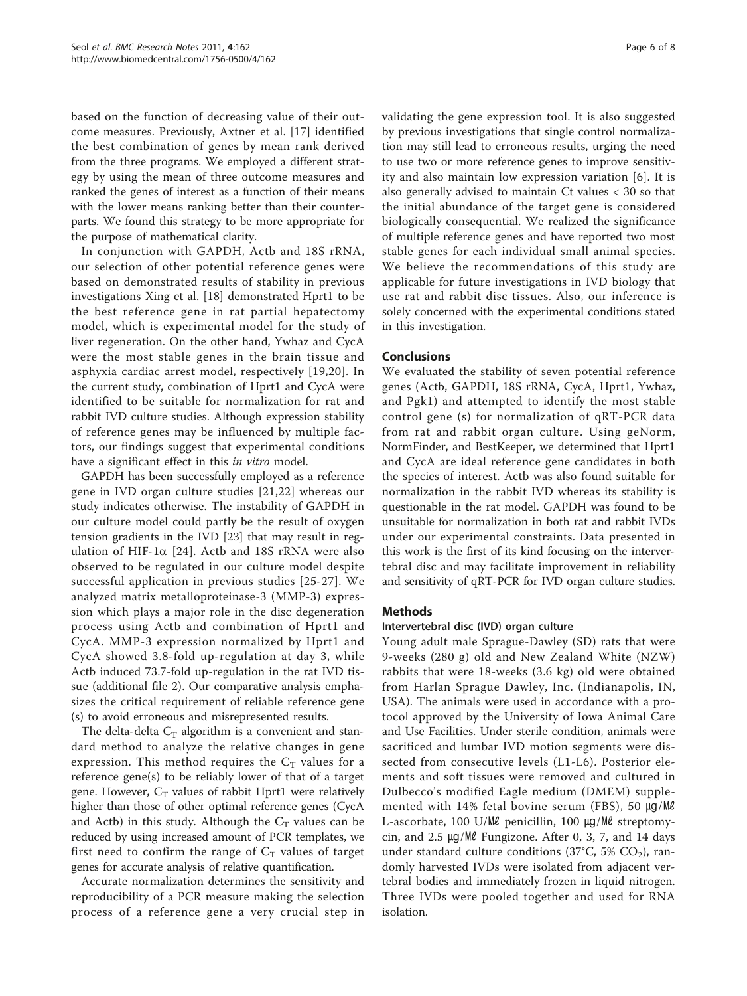based on the function of decreasing value of their outcome measures. Previously, Axtner et al. [[17\]](#page-7-0) identified the best combination of genes by mean rank derived from the three programs. We employed a different strategy by using the mean of three outcome measures and ranked the genes of interest as a function of their means with the lower means ranking better than their counterparts. We found this strategy to be more appropriate for the purpose of mathematical clarity.

In conjunction with GAPDH, Actb and 18S rRNA, our selection of other potential reference genes were based on demonstrated results of stability in previous investigations Xing et al. [\[18](#page-7-0)] demonstrated Hprt1 to be the best reference gene in rat partial hepatectomy model, which is experimental model for the study of liver regeneration. On the other hand, Ywhaz and CycA were the most stable genes in the brain tissue and asphyxia cardiac arrest model, respectively [\[19,20](#page-7-0)]. In the current study, combination of Hprt1 and CycA were identified to be suitable for normalization for rat and rabbit IVD culture studies. Although expression stability of reference genes may be influenced by multiple factors, our findings suggest that experimental conditions have a significant effect in this in vitro model.

GAPDH has been successfully employed as a reference gene in IVD organ culture studies [\[21,22](#page-7-0)] whereas our study indicates otherwise. The instability of GAPDH in our culture model could partly be the result of oxygen tension gradients in the IVD [\[23\]](#page-7-0) that may result in regulation of HIF-1 $\alpha$  [[24\]](#page-7-0). Actb and 18S rRNA were also observed to be regulated in our culture model despite successful application in previous studies [\[25-27\]](#page-7-0). We analyzed matrix metalloproteinase-3 (MMP-3) expression which plays a major role in the disc degeneration process using Actb and combination of Hprt1 and CycA. MMP-3 expression normalized by Hprt1 and CycA showed 3.8-fold up-regulation at day 3, while Actb induced 73.7-fold up-regulation in the rat IVD tissue (additional file [2\)](#page-6-0). Our comparative analysis emphasizes the critical requirement of reliable reference gene (s) to avoid erroneous and misrepresented results.

The delta-delta  $C_T$  algorithm is a convenient and standard method to analyze the relative changes in gene expression. This method requires the  $C_T$  values for a reference gene(s) to be reliably lower of that of a target gene. However,  $C_T$  values of rabbit Hprt1 were relatively higher than those of other optimal reference genes (CycA and Actb) in this study. Although the  $C_T$  values can be reduced by using increased amount of PCR templates, we first need to confirm the range of  $C_T$  values of target genes for accurate analysis of relative quantification.

Accurate normalization determines the sensitivity and reproducibility of a PCR measure making the selection process of a reference gene a very crucial step in validating the gene expression tool. It is also suggested by previous investigations that single control normalization may still lead to erroneous results, urging the need to use two or more reference genes to improve sensitivity and also maintain low expression variation [[6\]](#page-7-0). It is also generally advised to maintain Ct values < 30 so that the initial abundance of the target gene is considered biologically consequential. We realized the significance of multiple reference genes and have reported two most stable genes for each individual small animal species. We believe the recommendations of this study are applicable for future investigations in IVD biology that use rat and rabbit disc tissues. Also, our inference is solely concerned with the experimental conditions stated in this investigation.

# Conclusions

We evaluated the stability of seven potential reference genes (Actb, GAPDH, 18S rRNA, CycA, Hprt1, Ywhaz, and Pgk1) and attempted to identify the most stable control gene (s) for normalization of qRT-PCR data from rat and rabbit organ culture. Using geNorm, NormFinder, and BestKeeper, we determined that Hprt1 and CycA are ideal reference gene candidates in both the species of interest. Actb was also found suitable for normalization in the rabbit IVD whereas its stability is questionable in the rat model. GAPDH was found to be unsuitable for normalization in both rat and rabbit IVDs under our experimental constraints. Data presented in this work is the first of its kind focusing on the intervertebral disc and may facilitate improvement in reliability and sensitivity of qRT-PCR for IVD organ culture studies.

# Methods

#### Intervertebral disc (IVD) organ culture

Young adult male Sprague-Dawley (SD) rats that were 9-weeks (280 g) old and New Zealand White (NZW) rabbits that were 18-weeks (3.6 kg) old were obtained from Harlan Sprague Dawley, Inc. (Indianapolis, IN, USA). The animals were used in accordance with a protocol approved by the University of Iowa Animal Care and Use Facilities. Under sterile condition, animals were sacrificed and lumbar IVD motion segments were dissected from consecutive levels (L1-L6). Posterior elements and soft tissues were removed and cultured in Dulbecco's modified Eagle medium (DMEM) supplemented with 14% fetal bovine serum (FBS), 50 µg/Ml L-ascorbate, 100 U/㎖ penicillin, 100 ㎍/㎖ streptomycin, and 2.5 ㎍/㎖ Fungizone. After 0, 3, 7, and 14 days under standard culture conditions (37°C, 5% CO<sub>2</sub>), randomly harvested IVDs were isolated from adjacent vertebral bodies and immediately frozen in liquid nitrogen. Three IVDs were pooled together and used for RNA isolation.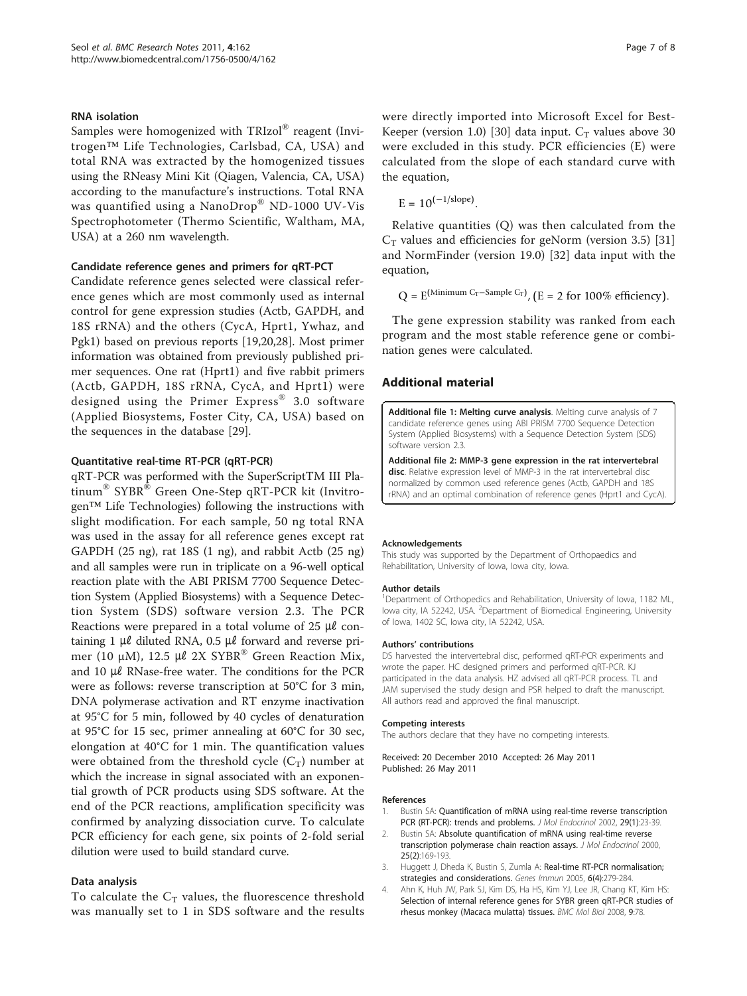#### <span id="page-6-0"></span>RNA isolation

Samples were homogenized with TRIzol® reagent (Invitrogen™ Life Technologies, Carlsbad, CA, USA) and total RNA was extracted by the homogenized tissues using the RNeasy Mini Kit (Qiagen, Valencia, CA, USA) according to the manufacture's instructions. Total RNA was quantified using a NanoDrop® ND-1000 UV-Vis Spectrophotometer (Thermo Scientific, Waltham, MA, USA) at a 260 nm wavelength.

#### Candidate reference genes and primers for qRT-PCT

Candidate reference genes selected were classical reference genes which are most commonly used as internal control for gene expression studies (Actb, GAPDH, and 18S rRNA) and the others (CycA, Hprt1, Ywhaz, and Pgk1) based on previous reports [\[19,20,28\]](#page-7-0). Most primer information was obtained from previously published primer sequences. One rat (Hprt1) and five rabbit primers (Actb, GAPDH, 18S rRNA, CycA, and Hprt1) were designed using the Primer Express® 3.0 software (Applied Biosystems, Foster City, CA, USA) based on the sequences in the database [\[29\]](#page-7-0).

#### Quantitative real-time RT-PCR (qRT-PCR)

qRT-PCR was performed with the SuperScriptTM III Platinum® SYBR® Green One-Step qRT-PCR kit (Invitrogen™ Life Technologies) following the instructions with slight modification. For each sample, 50 ng total RNA was used in the assay for all reference genes except rat GAPDH (25 ng), rat 18S (1 ng), and rabbit Actb (25 ng) and all samples were run in triplicate on a 96-well optical reaction plate with the ABI PRISM 7700 Sequence Detection System (Applied Biosystems) with a Sequence Detection System (SDS) software version 2.3. The PCR Reactions were prepared in a total volume of  $25 \mu\ell$  containing 1  $\mu$ l diluted RNA, 0.5  $\mu$ l forward and reverse primer (10 μM), 12.5 με 2X SYBR<sup>®</sup> Green Reaction Mix, and 10  $\mu\ell$  RNase-free water. The conditions for the PCR were as follows: reverse transcription at 50°C for 3 min, DNA polymerase activation and RT enzyme inactivation at 95°C for 5 min, followed by 40 cycles of denaturation at 95°C for 15 sec, primer annealing at 60°C for 30 sec, elongation at 40°C for 1 min. The quantification values were obtained from the threshold cycle  $(C_T)$  number at which the increase in signal associated with an exponential growth of PCR products using SDS software. At the end of the PCR reactions, amplification specificity was confirmed by analyzing dissociation curve. To calculate PCR efficiency for each gene, six points of 2-fold serial dilution were used to build standard curve.

#### Data analysis

To calculate the  $C_T$  values, the fluorescence threshold was manually set to 1 in SDS software and the results were directly imported into Microsoft Excel for Best-Keeper (version 1.0) [[30](#page-7-0)] data input.  $C_T$  values above 30 were excluded in this study. PCR efficiencies (E) were calculated from the slope of each standard curve with the equation,

 $E = 10^{(-1/\text{slope})}$ 

Relative quantities (Q) was then calculated from the  $C_T$  values and efficiencies for geNorm (version 3.5) [[31](#page-7-0)] and NormFinder (version 19.0) [\[32](#page-7-0)] data input with the equation,

 $Q = E^{(Minimum C_T-Sample C_T)}$ , (E = 2 for 100% efficiency).

The gene expression stability was ranked from each program and the most stable reference gene or combination genes were calculated.

#### Additional material

[Additional file 1: M](http://www.biomedcentral.com/content/supplementary/1756-0500-4-162-S1.PDF)elting curve analysis. Melting curve analysis of 7 candidate reference genes using ABI PRISM 7700 Sequence Detection System (Applied Biosystems) with a Sequence Detection System (SDS) software version 2.3.

[Additional file 2: M](http://www.biomedcentral.com/content/supplementary/1756-0500-4-162-S2.PDF)MP-3 gene expression in the rat intervertebral disc. Relative expression level of MMP-3 in the rat intervertebral disc normalized by common used reference genes (Actb, GAPDH and 18S rRNA) and an optimal combination of reference genes (Hprt1 and CycA).

#### Acknowledgements

This study was supported by the Department of Orthopaedics and Rehabilitation, University of Iowa, Iowa city, Iowa.

#### Author details

<sup>1</sup>Department of Orthopedics and Rehabilitation, University of Iowa, 1182 ML, lowa city, IA 52242, USA. <sup>2</sup>Department of Biomedical Engineering, University of Iowa, 1402 SC, Iowa city, IA 52242, USA.

#### Authors' contributions

DS harvested the intervertebral disc, performed qRT-PCR experiments and wrote the paper. HC designed primers and performed qRT-PCR. KJ participated in the data analysis. HZ advised all qRT-PCR process. TL and JAM supervised the study design and PSR helped to draft the manuscript. All authors read and approved the final manuscript.

#### Competing interests

The authors declare that they have no competing interests.

Received: 20 December 2010 Accepted: 26 May 2011 Published: 26 May 2011

#### References

- 1. Bustin SA: [Quantification of mRNA using real-time reverse transcription](http://www.ncbi.nlm.nih.gov/pubmed/12200227?dopt=Abstract) [PCR \(RT-PCR\): trends and problems.](http://www.ncbi.nlm.nih.gov/pubmed/12200227?dopt=Abstract) J Mol Endocrinol 2002, 29(1):23-39.
- 2. Bustin SA: [Absolute quantification of mRNA using real-time reverse](http://www.ncbi.nlm.nih.gov/pubmed/11013345?dopt=Abstract) [transcription polymerase chain reaction assays.](http://www.ncbi.nlm.nih.gov/pubmed/11013345?dopt=Abstract) J Mol Endocrinol 2000, 25(2):169-193.
- 3. Huggett J, Dheda K, Bustin S, Zumla A: [Real-time RT-PCR normalisation;](http://www.ncbi.nlm.nih.gov/pubmed/15815687?dopt=Abstract) [strategies and considerations.](http://www.ncbi.nlm.nih.gov/pubmed/15815687?dopt=Abstract) Genes Immun 2005, 6(4):279-284.
- 4. Ahn K, Huh JW, Park SJ, Kim DS, Ha HS, Kim YJ, Lee JR, Chang KT, Kim HS: [Selection of internal reference genes for SYBR green qRT-PCR studies of](http://www.ncbi.nlm.nih.gov/pubmed/18782457?dopt=Abstract) [rhesus monkey \(Macaca mulatta\) tissues.](http://www.ncbi.nlm.nih.gov/pubmed/18782457?dopt=Abstract) BMC Mol Biol 2008, 9:78.